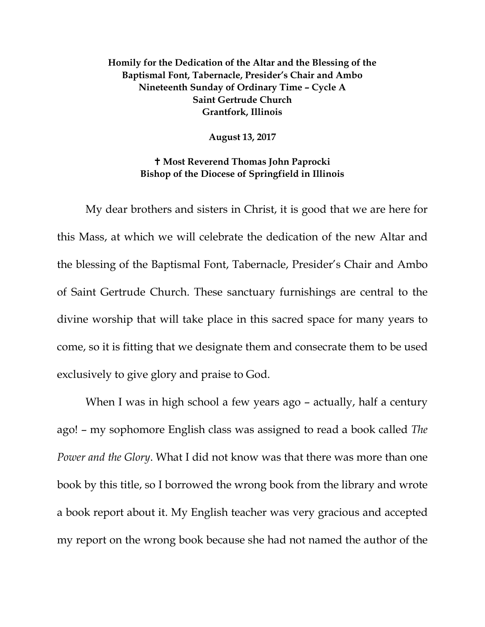## **Homily for the Dedication of the Altar and the Blessing of the Baptismal Font, Tabernacle, Presider's Chair and Ambo Nineteenth Sunday of Ordinary Time – Cycle A Saint Gertrude Church Grantfork, Illinois**

**August 13, 2017**

## **Most Reverend Thomas John Paprocki Bishop of the Diocese of Springfield in Illinois**

My dear brothers and sisters in Christ, it is good that we are here for this Mass, at which we will celebrate the dedication of the new Altar and the blessing of the Baptismal Font, Tabernacle, Presider's Chair and Ambo of Saint Gertrude Church. These sanctuary furnishings are central to the divine worship that will take place in this sacred space for many years to come, so it is fitting that we designate them and consecrate them to be used exclusively to give glory and praise to God.

When I was in high school a few years ago - actually, half a century ago! – my sophomore English class was assigned to read a book called *The Power and the Glory*. What I did not know was that there was more than one book by this title, so I borrowed the wrong book from the library and wrote a book report about it. My English teacher was very gracious and accepted my report on the wrong book because she had not named the author of the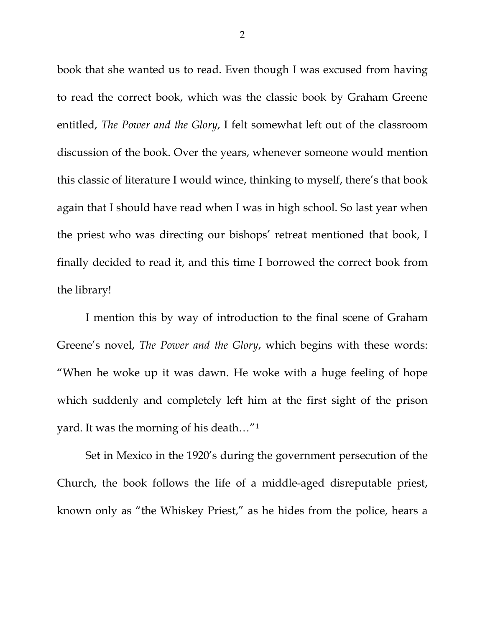book that she wanted us to read. Even though I was excused from having to read the correct book, which was the classic book by Graham Greene entitled, *The Power and the Glory*, I felt somewhat left out of the classroom discussion of the book. Over the years, whenever someone would mention this classic of literature I would wince, thinking to myself, there's that book again that I should have read when I was in high school. So last year when the priest who was directing our bishops' retreat mentioned that book, I finally decided to read it, and this time I borrowed the correct book from the library!

I mention this by way of introduction to the final scene of Graham Greene's novel, *The Power and the Glory*, which begins with these words: "When he woke up it was dawn. He woke with a huge feeling of hope which suddenly and completely left him at the first sight of the prison yard. It was the morning of his death…"[1](#page-7-0)

Set in Mexico in the 1920's during the government persecution of the Church, the book follows the life of a middle-aged disreputable priest, known only as "the Whiskey Priest," as he hides from the police, hears a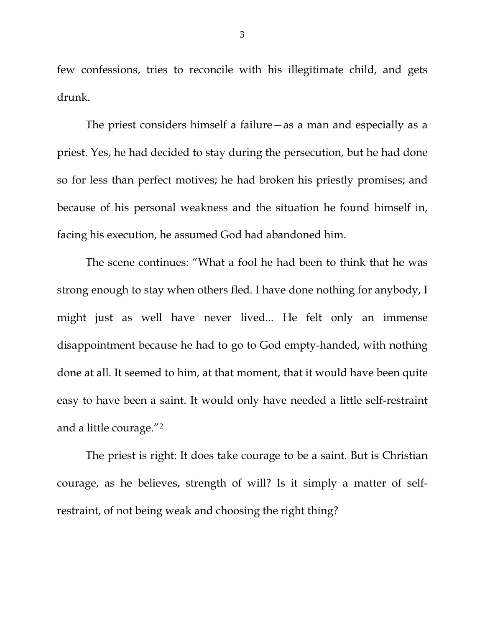few confessions, tries to reconcile with his illegitimate child, and gets drunk.

The priest considers himself a failure—as a man and especially as a priest. Yes, he had decided to stay during the persecution, but he had done so for less than perfect motives; he had broken his priestly promises; and because of his personal weakness and the situation he found himself in, facing his execution, he assumed God had abandoned him.

The scene continues: "What a fool he had been to think that he was strong enough to stay when others fled. I have done nothing for anybody, I might just as well have never lived... He felt only an immense disappointment because he had to go to God empty-handed, with nothing done at all. It seemed to him, at that moment, that it would have been quite easy to have been a saint. It would only have needed a little self-restraint and a little courage."[2](#page-7-1)

The priest is right: It does take courage to be a saint. But is Christian courage, as he believes, strength of will? Is it simply a matter of selfrestraint, of not being weak and choosing the right thing?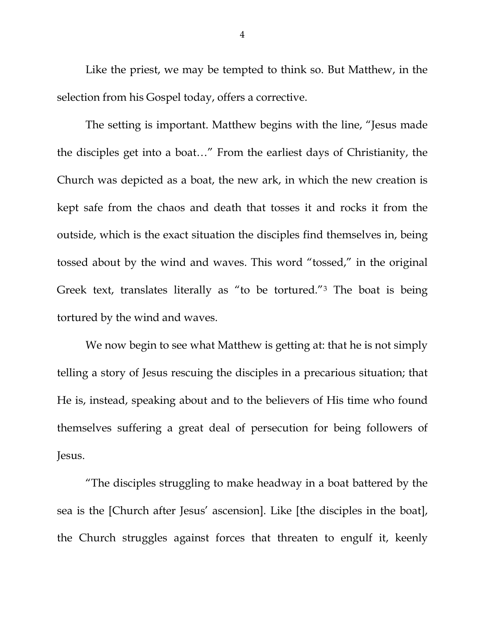Like the priest, we may be tempted to think so. But Matthew, in the selection from his Gospel today, offers a corrective.

The setting is important. Matthew begins with the line, "Jesus made the disciples get into a boat…" From the earliest days of Christianity, the Church was depicted as a boat, the new ark, in which the new creation is kept safe from the chaos and death that tosses it and rocks it from the outside, which is the exact situation the disciples find themselves in, being tossed about by the wind and waves. This word "tossed," in the original Greek text, translates literally as "to be tortured."[3](#page-7-2) The boat is being tortured by the wind and waves.

We now begin to see what Matthew is getting at: that he is not simply telling a story of Jesus rescuing the disciples in a precarious situation; that He is, instead, speaking about and to the believers of His time who found themselves suffering a great deal of persecution for being followers of Jesus.

"The disciples struggling to make headway in a boat battered by the sea is the [Church after Jesus' ascension]. Like [the disciples in the boat], the Church struggles against forces that threaten to engulf it, keenly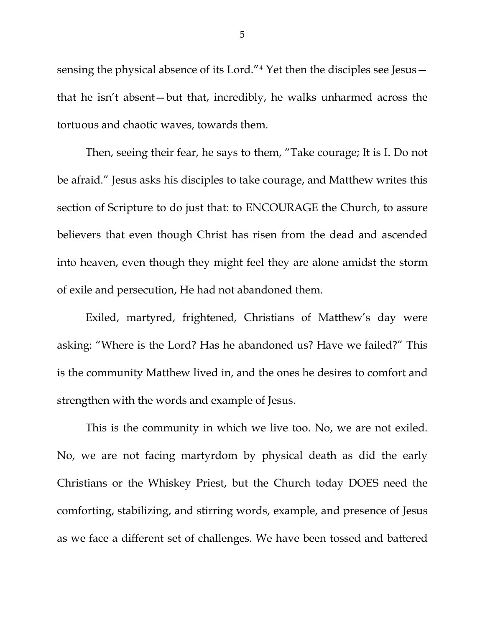sensing the physical absence of its Lord."[4](#page-7-3) Yet then the disciples see Jesus that he isn't absent—but that, incredibly, he walks unharmed across the tortuous and chaotic waves, towards them.

Then, seeing their fear, he says to them, "Take courage; It is I. Do not be afraid." Jesus asks his disciples to take courage, and Matthew writes this section of Scripture to do just that: to ENCOURAGE the Church, to assure believers that even though Christ has risen from the dead and ascended into heaven, even though they might feel they are alone amidst the storm of exile and persecution, He had not abandoned them.

Exiled, martyred, frightened, Christians of Matthew's day were asking: "Where is the Lord? Has he abandoned us? Have we failed?" This is the community Matthew lived in, and the ones he desires to comfort and strengthen with the words and example of Jesus.

This is the community in which we live too. No, we are not exiled. No, we are not facing martyrdom by physical death as did the early Christians or the Whiskey Priest, but the Church today DOES need the comforting, stabilizing, and stirring words, example, and presence of Jesus as we face a different set of challenges. We have been tossed and battered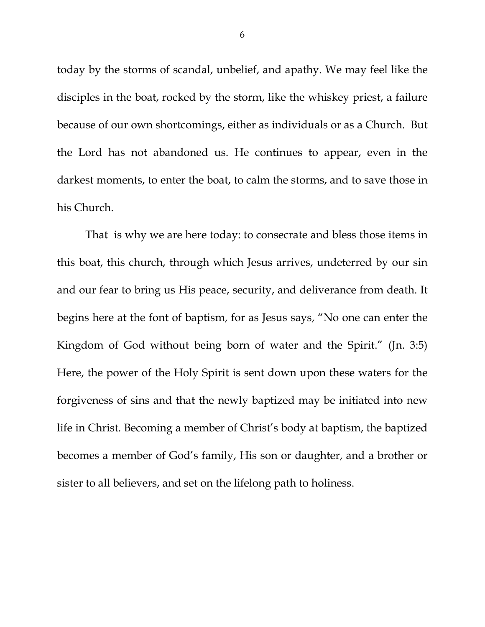today by the storms of scandal, unbelief, and apathy. We may feel like the disciples in the boat, rocked by the storm, like the whiskey priest, a failure because of our own shortcomings, either as individuals or as a Church. But the Lord has not abandoned us. He continues to appear, even in the darkest moments, to enter the boat, to calm the storms, and to save those in his Church.

That is why we are here today: to consecrate and bless those items in this boat, this church, through which Jesus arrives, undeterred by our sin and our fear to bring us His peace, security, and deliverance from death. It begins here at the font of baptism, for as Jesus says, "No one can enter the Kingdom of God without being born of water and the Spirit." (Jn. 3:5) Here, the power of the Holy Spirit is sent down upon these waters for the forgiveness of sins and that the newly baptized may be initiated into new life in Christ. Becoming a member of Christ's body at baptism, the baptized becomes a member of God's family, His son or daughter, and a brother or sister to all believers, and set on the lifelong path to holiness.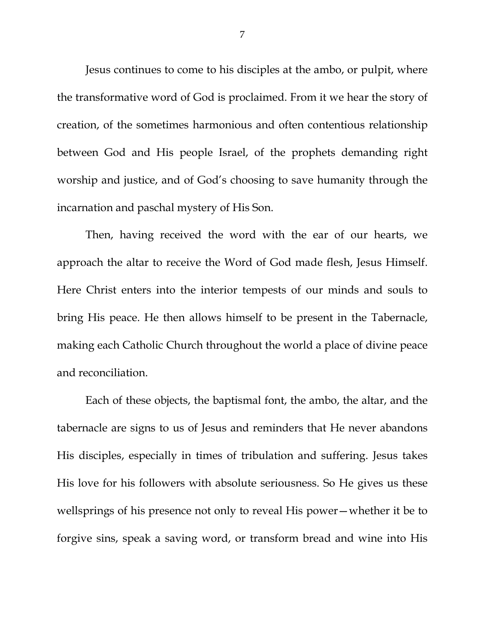Jesus continues to come to his disciples at the ambo, or pulpit, where the transformative word of God is proclaimed. From it we hear the story of creation, of the sometimes harmonious and often contentious relationship between God and His people Israel, of the prophets demanding right worship and justice, and of God's choosing to save humanity through the incarnation and paschal mystery of His Son.

Then, having received the word with the ear of our hearts, we approach the altar to receive the Word of God made flesh, Jesus Himself. Here Christ enters into the interior tempests of our minds and souls to bring His peace. He then allows himself to be present in the Tabernacle, making each Catholic Church throughout the world a place of divine peace and reconciliation.

Each of these objects, the baptismal font, the ambo, the altar, and the tabernacle are signs to us of Jesus and reminders that He never abandons His disciples, especially in times of tribulation and suffering. Jesus takes His love for his followers with absolute seriousness. So He gives us these wellsprings of his presence not only to reveal His power—whether it be to forgive sins, speak a saving word, or transform bread and wine into His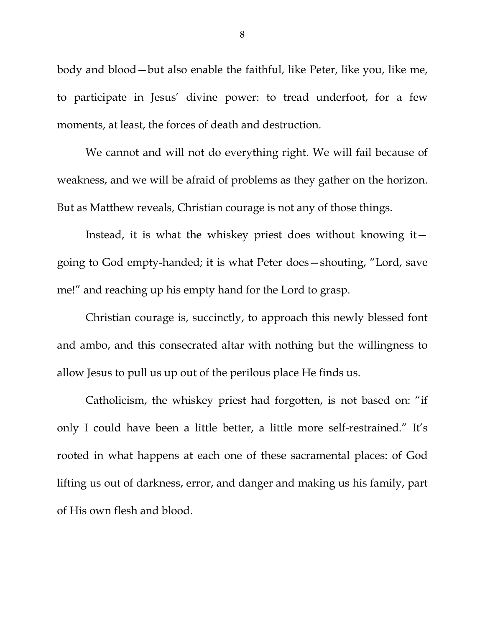body and blood—but also enable the faithful, like Peter, like you, like me, to participate in Jesus' divine power: to tread underfoot, for a few moments, at least, the forces of death and destruction.

We cannot and will not do everything right. We will fail because of weakness, and we will be afraid of problems as they gather on the horizon. But as Matthew reveals, Christian courage is not any of those things.

Instead, it is what the whiskey priest does without knowing it going to God empty-handed; it is what Peter does—shouting, "Lord, save me!" and reaching up his empty hand for the Lord to grasp.

<span id="page-7-0"></span>Christian courage is, succinctly, to approach this newly blessed font and ambo, and this consecrated altar with nothing but the willingness to allow Jesus to pull us up out of the perilous place He finds us.

<span id="page-7-3"></span><span id="page-7-2"></span><span id="page-7-1"></span>Catholicism, the whiskey priest had forgotten, is not based on: "if only I could have been a little better, a little more self-restrained." It's rooted in what happens at each one of these sacramental places: of God lifting us out of darkness, error, and danger and making us his family, part of His own flesh and blood.